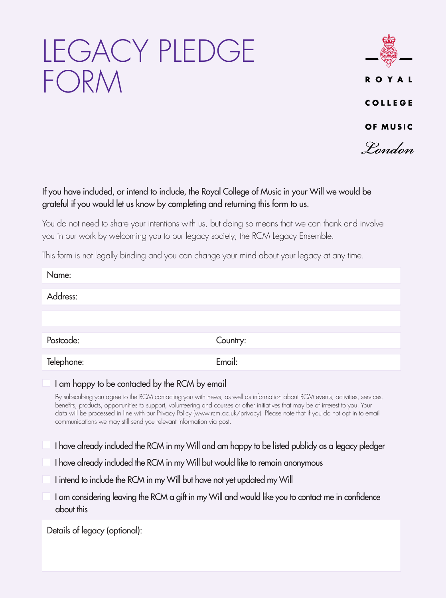# LEGACY PLEDGE FORM



#### If you have included, or intend to include, the Royal College of Music in your Will we would be grateful if you would let us know by completing and returning this form to us.

You do not need to share your intentions with us, but doing so means that we can thank and involve you in our work by welcoming you to our legacy society, the RCM Legacy Ensemble.

This form is not legally binding and you can change your mind about your legacy at any time.

| Name:                                                                                                                                                                                                                                                                             |                                                                                                                                                                                                                                                                                                                                                                                                                                                                                                                                                                                                              |
|-----------------------------------------------------------------------------------------------------------------------------------------------------------------------------------------------------------------------------------------------------------------------------------|--------------------------------------------------------------------------------------------------------------------------------------------------------------------------------------------------------------------------------------------------------------------------------------------------------------------------------------------------------------------------------------------------------------------------------------------------------------------------------------------------------------------------------------------------------------------------------------------------------------|
| Address:                                                                                                                                                                                                                                                                          |                                                                                                                                                                                                                                                                                                                                                                                                                                                                                                                                                                                                              |
|                                                                                                                                                                                                                                                                                   |                                                                                                                                                                                                                                                                                                                                                                                                                                                                                                                                                                                                              |
| Postcode:                                                                                                                                                                                                                                                                         | Country:                                                                                                                                                                                                                                                                                                                                                                                                                                                                                                                                                                                                     |
| Telephone:                                                                                                                                                                                                                                                                        | Email:                                                                                                                                                                                                                                                                                                                                                                                                                                                                                                                                                                                                       |
| I am happy to be contacted by the RCM by email<br>communications we may still send you relevant information via post.<br>I have already included the RCM in my Will but would like to remain anonymous<br>I intend to include the RCM in my Will but have not yet updated my Will | By subscribing you agree to the RCM contacting you with news, as well as information about RCM events, activities, services,<br>benefits, products, opportunities to support, volunteering and courses or other initiatives that may be of interest to you. Your<br>data will be processed in line with our Privacy Policy (www.rcm.ac.uk/privacy). Please note that if you do not opt in to email<br>I have already included the RCM in my Will and am happy to be listed publicly as a legacy pledger<br>I am considering leaving the RCM a gift in my Will and would like you to contact me in confidence |
| about this                                                                                                                                                                                                                                                                        |                                                                                                                                                                                                                                                                                                                                                                                                                                                                                                                                                                                                              |
| Details of legacy (optional):                                                                                                                                                                                                                                                     |                                                                                                                                                                                                                                                                                                                                                                                                                                                                                                                                                                                                              |